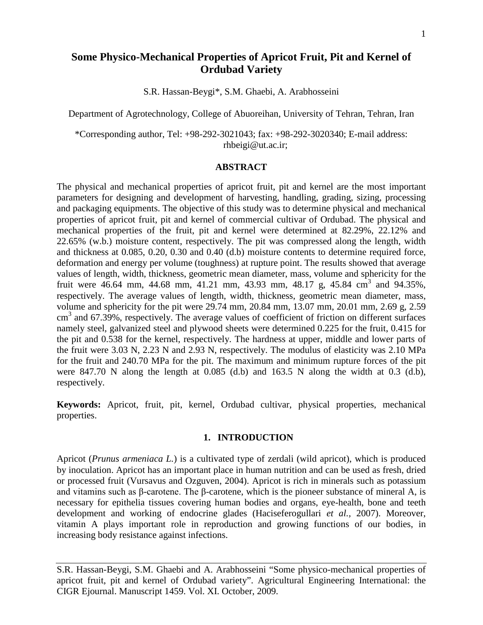# **Some Physico-Mechanical Properties of Apricot Fruit, Pit and Kernel of Ordubad Variety**

S.R. Hassan-Beygi\*, S.M. Ghaebi, A. Arabhosseini

Department of Agrotechnology, College of Abuoreihan, University of Tehran, Tehran, Iran

\*Corresponding author, Tel: +98-292-3021043; fax: +98-292-3020340; E-mail address: [rhbeigi@ut.ac.ir;](mailto:rhbeigi@ut.ac.ir)

### **ABSTRACT**

The physical and mechanical properties of apricot fruit, pit and kernel are the most important parameters for designing and development of harvesting, handling, grading, sizing, processing and packaging equipments. The objective of this study was to determine physical and mechanical properties of apricot fruit, pit and kernel of commercial cultivar of Ordubad. The physical and mechanical properties of the fruit, pit and kernel were determined at 82.29%, 22.12% and 22.65% (w.b.) moisture content, respectively. The pit was compressed along the length, width and thickness at 0.085, 0.20, 0.30 and 0.40 (d.b) moisture contents to determine required force, deformation and energy per volume (toughness) at rupture point. The results showed that average values of length, width, thickness, geometric mean diameter, mass, volume and sphericity for the fruit were 46.64 mm, 44.68 mm, 41.21 mm, 43.93 mm, 48.17 g, 45.84 cm<sup>3</sup> and 94.35%, respectively. The average values of length, width, thickness, geometric mean diameter, mass, volume and sphericity for the pit were 29.74 mm, 20.84 mm, 13.07 mm, 20.01 mm, 2.69 g, 2.59  $\text{cm}^3$  and 67.39%, respectively. The average values of coefficient of friction on different surfaces namely steel, galvanized steel and plywood sheets were determined 0.225 for the fruit, 0.415 for the pit and 0.538 for the kernel, respectively. The hardness at upper, middle and lower parts of the fruit were 3.03 N, 2.23 N and 2.93 N, respectively. The modulus of elasticity was 2.10 MPa for the fruit and 240.70 MPa for the pit. The maximum and minimum rupture forces of the pit were 847.70 N along the length at 0.085 (d.b) and 163.5 N along the width at 0.3 (d.b), respectively.

**Keywords:** Apricot, fruit, pit, kernel, Ordubad cultivar, physical properties, mechanical properties.

#### **1. INTRODUCTION**

Apricot (*Prunus armeniaca L.*) is a cultivated type of zerdali (wild apricot), which is produced by inoculation. Apricot has an important place in human nutrition and can be used as fresh, dried or processed fruit (Vursavus and Ozguven, 2004). Apricot is rich in minerals such as potassium and vitamins such as β-carotene. The β-carotene, which is the pioneer substance of mineral A, is necessary for epithelia tissues covering human bodies and organs, eye-health, bone and teeth development and working of endocrine glades (Haciseferogullari *et al.,* 2007). Moreover, vitamin A plays important role in reproduction and growing functions of our bodies, in increasing body resistance against infections.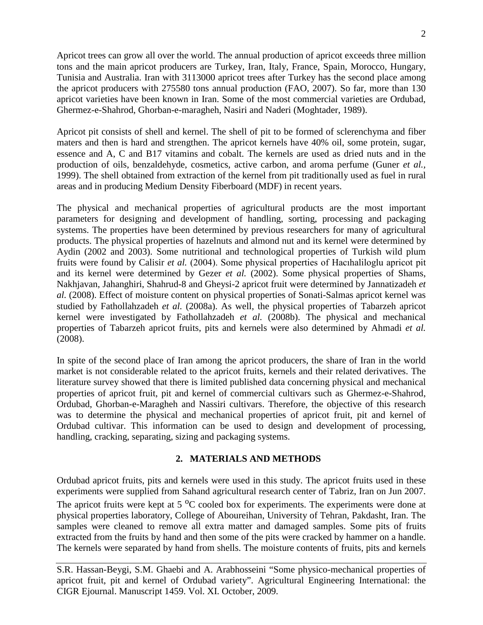Apricot trees can grow all over the world. The annual production of apricot exceeds three million tons and the main apricot producers are Turkey, Iran, Italy, France, Spain, Morocco, Hungary, Tunisia and Australia. Iran with 3113000 apricot trees after Turkey has the second place among the apricot producers with 275580 tons annual production (FAO, 2007). So far, more than 130 apricot varieties have been known in Iran. Some of the most commercial varieties are Ordubad, Ghermez-e-Shahrod, Ghorban-e-maragheh, Nasiri and Naderi (Moghtader, 1989).

Apricot pit consists of shell and kernel. The shell of pit to be formed of sclerenchyma and fiber maters and then is hard and strengthen. The apricot kernels have 40% oil, some protein, sugar, essence and A, C and B17 vitamins and cobalt. The kernels are used as dried nuts and in the production of oils, benzaldehyde, cosmetics, active carbon, and aroma perfume (Guner *et al.,* 1999). The shell obtained from extraction of the kernel from pit traditionally used as fuel in rural areas and in producing Medium Density Fiberboard (MDF) in recent years.

The physical and mechanical properties of agricultural products are the most important parameters for designing and development of handling, sorting, processing and packaging systems. The properties have been determined by previous researchers for many of agricultural products. The physical properties of hazelnuts and almond nut and its kernel were determined by Aydin (2002 and 2003). Some nutritional and technological properties of Turkish wild plum fruits were found by Calisir *et al.* (2004). Some physical properties of Hacıhaliloglu apricot pit and its kernel were determined by Gezer *et al.* (2002). Some physical properties of Shams, Nakhjavan, Jahanghiri, Shahrud-8 and Gheysi-2 apricot fruit were determined by Jannatizadeh *et al.* (2008). Effect of moisture content on physical properties of Sonati-Salmas apricot kernel was studied by Fathollahzadeh *et al.* (2008a). As well, the physical properties of Tabarzeh apricot kernel were investigated by Fathollahzadeh *et al.* (2008b). The physical and mechanical properties of Tabarzeh apricot fruits, pits and kernels were also determined by Ahmadi *et al.* (2008).

In spite of the second place of Iran among the apricot producers, the share of Iran in the world market is not considerable related to the apricot fruits, kernels and their related derivatives. The literature survey showed that there is limited published data concerning physical and mechanical properties of apricot fruit, pit and kernel of commercial cultivars such as Ghermez-e-Shahrod, Ordubad, Ghorban-e-Maragheh and Nassiri cultivars. Therefore, the objective of this research was to determine the physical and mechanical properties of apricot fruit, pit and kernel of Ordubad cultivar. This information can be used to design and development of processing, handling, cracking, separating, sizing and packaging systems.

## **2. MATERIALS AND METHODS**

Ordubad apricot fruits, pits and kernels were used in this study. The apricot fruits used in these experiments were supplied from Sahand agricultural research center of Tabriz, Iran on Jun 2007. The apricot fruits were kept at  $5<sup>o</sup>C$  cooled box for experiments. The experiments were done at physical properties laboratory, College of Aboureihan, University of Tehran, Pakdasht, Iran. The samples were cleaned to remove all extra matter and damaged samples. Some pits of fruits extracted from the fruits by hand and then some of the pits were cracked by hammer on a handle. The kernels were separated by hand from shells. The moisture contents of fruits, pits and kernels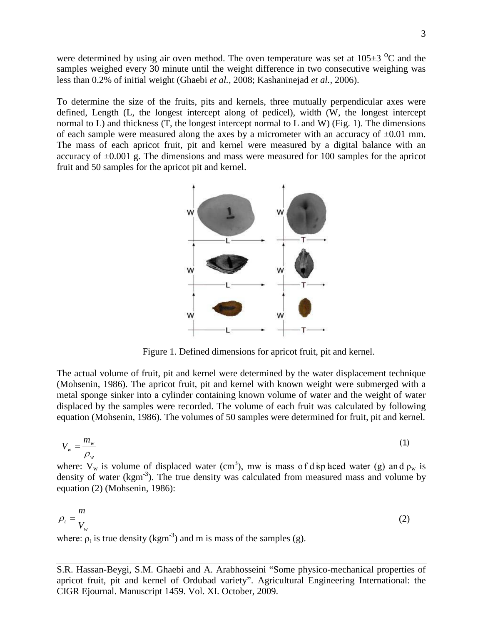were determined by using air oven method. The oven temperature was set at  $105\pm3$  <sup>o</sup>C and the samples weighed every 30 minute until the weight difference in two consecutive weighing was less than 0.2% of initial weight (Ghaebi *et al.,* 2008; Kashaninejad *et al.,* 2006).

To determine the size of the fruits, pits and kernels, three mutually perpendicular axes were defined, Length (L, the longest intercept along of pedicel), width (W, the longest intercept normal to L) and thickness (T, the longest intercept normal to L and W) (Fig. 1). The dimensions of each sample were measured along the axes by a micrometer with an accuracy of  $\pm 0.01$  mm. The mass of each apricot fruit, pit and kernel were measured by a digital balance with an accuracy of ±0.001 g. The dimensions and mass were measured for 100 samples for the apricot fruit and 50 samples for the apricot pit and kernel.



Figure 1. Defined dimensions for apricot fruit, pit and kernel.

The actual volume of fruit, pit and kernel were determined by the water displacement technique (Mohsenin, 1986). The apricot fruit, pit and kernel with known weight were submerged with a metal sponge sinker into a cylinder containing known volume of water and the weight of water displaced by the samples were recorded. The volume of each fruit was calculated by following equation (Mohsenin, 1986). The volumes of 50 samples were determined for fruit, pit and kernel.

$$
V_w = \frac{m_w}{\rho_w} \tag{1}
$$

where:  $V_w$  is volume of displaced water (cm<sup>3</sup>), mw is mass of d sp laced water (g) and  $\rho_w$  is density of water (kgm<sup>-3</sup>). The true density was calculated from measured mass and volume by equation (2) (Mohsenin, 1986):

$$
\rho_t = \frac{m}{V_w} \tag{2}
$$

where:  $\rho_t$  is true density (kgm<sup>-3</sup>) and m is mass of the samples (g).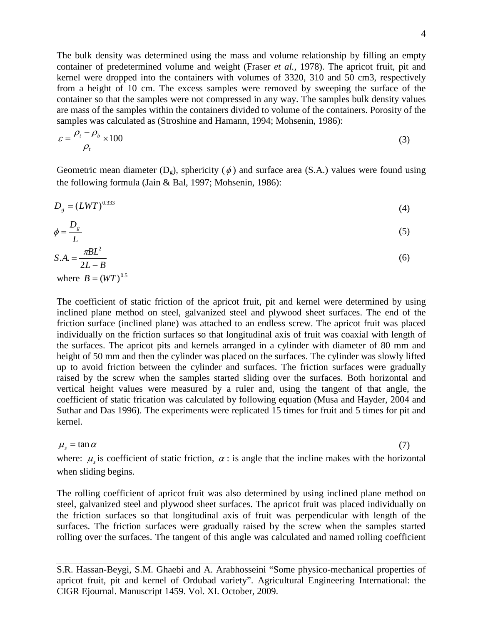4

The bulk density was determined using the mass and volume relationship by filling an empty container of predetermined volume and weight (Fraser *et al.,* 1978). The apricot fruit, pit and kernel were dropped into the containers with volumes of 3320, 310 and 50 cm3, respectively from a height of 10 cm. The excess samples were removed by sweeping the surface of the container so that the samples were not compressed in any way. The samples bulk density values are mass of the samples within the containers divided to volume of the containers. Porosity of the samples was calculated as (Stroshine and Hamann, 1994; Mohsenin, 1986):

$$
\varepsilon = \frac{\rho_t - \rho_b}{\rho_t} \times 100
$$
\n(3)

Geometric mean diameter  $(D_g)$ , sphericity  $(\phi)$  and surface area (S.A.) values were found using the following formula (Jain & Bal, 1997; Mohsenin, 1986):

$$
D_g = (LWT)^{0.333} \tag{4}
$$

$$
\phi = \frac{D_s}{L} \tag{5}
$$

$$
S.A. = \frac{\pi B L^2}{2L - B} \tag{6}
$$

where  $B = (WT)^{0.5}$ 

The coefficient of static friction of the apricot fruit, pit and kernel were determined by using inclined plane method on steel, galvanized steel and plywood sheet surfaces. The end of the friction surface (inclined plane) was attached to an endless screw. The apricot fruit was placed individually on the friction surfaces so that longitudinal axis of fruit was coaxial with length of the surfaces. The apricot pits and kernels arranged in a cylinder with diameter of 80 mm and height of 50 mm and then the cylinder was placed on the surfaces. The cylinder was slowly lifted up to avoid friction between the cylinder and surfaces. The friction surfaces were gradually raised by the screw when the samples started sliding over the surfaces. Both horizontal and vertical height values were measured by a ruler and, using the tangent of that angle, the coefficient of static frication was calculated by following equation (Musa and Hayder, 2004 and Suthar and Das 1996). The experiments were replicated 15 times for fruit and 5 times for pit and kernel.

# $\mu_{s} = \tan \alpha$  (7)

where:  $\mu$  is coefficient of static friction,  $\alpha$ : is angle that the incline makes with the horizontal when sliding begins.

The rolling coefficient of apricot fruit was also determined by using inclined plane method on steel, galvanized steel and plywood sheet surfaces. The apricot fruit was placed individually on the friction surfaces so that longitudinal axis of fruit was perpendicular with length of the surfaces. The friction surfaces were gradually raised by the screw when the samples started rolling over the surfaces. The tangent of this angle was calculated and named rolling coefficient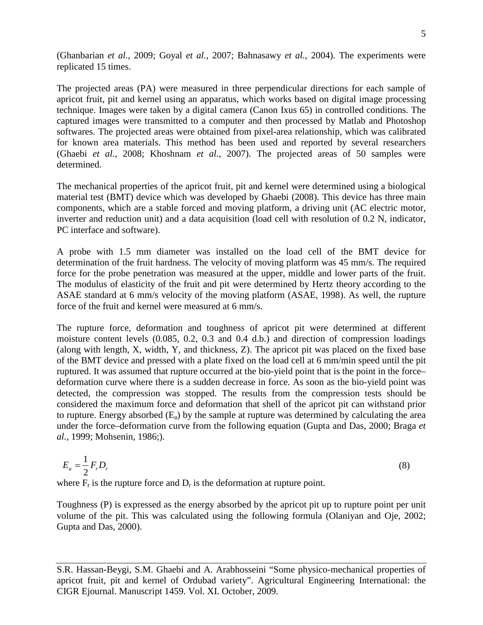(Ghanbarian *et al.,* 2009; Goyal *et al.,* 2007; Bahnasawy *et al.,* 2004). The experiments were replicated 15 times.

The projected areas (PA) were measured in three perpendicular directions for each sample of apricot fruit, pit and kernel using an apparatus, which works based on digital image processing technique. Images were taken by a digital camera (Canon Ixus 65) in controlled conditions. The captured images were transmitted to a computer and then processed by Matlab and Photoshop softwares. The projected areas were obtained from pixel-area relationship, which was calibrated for known area materials. This method has been used and reported by several researchers (Ghaebi *et al.,* 2008; Khoshnam *et al.,* 2007). The projected areas of 50 samples were determined.

The mechanical properties of the apricot fruit, pit and kernel were determined using a biological material test (BMT) device which was developed by Ghaebi (2008). This device has three main components, which are a stable forced and moving platform, a driving unit (AC electric motor, inverter and reduction unit) and a data acquisition (load cell with resolution of 0.2 N, indicator, PC interface and software).

A probe with 1.5 mm diameter was installed on the load cell of the BMT device for determination of the fruit hardness. The velocity of moving platform was 45 mm/s. The required force for the probe penetration was measured at the upper, middle and lower parts of the fruit. The modulus of elasticity of the fruit and pit were determined by Hertz theory according to the ASAE standard at 6 mm/s velocity of the moving platform (ASAE, 1998). As well, the rupture force of the fruit and kernel were measured at 6 mm/s.

The rupture force, deformation and toughness of apricot pit were determined at different moisture content levels (0.085, 0.2, 0.3 and 0.4 d.b.) and direction of compression loadings (along with length, X, width, Y, and thickness, Z). The apricot pit was placed on the fixed base of the BMT device and pressed with a plate fixed on the load cell at 6 mm/min speed until the pit ruptured. It was assumed that rupture occurred at the bio-yield point that is the point in the force– deformation curve where there is a sudden decrease in force. As soon as the bio-yield point was detected, the compression was stopped. The results from the compression tests should be considered the maximum force and deformation that shell of the apricot pit can withstand prior to rupture. Energy absorbed  $(E_a)$  by the sample at rupture was determined by calculating the area under the force–deformation curve from the following equation (Gupta and Das, 2000; Braga *et al.,* 1999; Mohsenin, 1986;).

$$
E_a = \frac{1}{2} F_r D_r \tag{8}
$$

where  $F_r$  is the rupture force and  $D_r$  is the deformation at rupture point.

Toughness (P) is expressed as the energy absorbed by the apricot pit up to rupture point per unit volume of the pit. This was calculated using the following formula (Olaniyan and Oje, 2002; Gupta and Das, 2000).

S.R. Hassan-Beygi, S.M. Ghaebi and A. Arabhosseini "Some physico-mechanical properties of apricot fruit, pit and kernel of Ordubad variety". Agricultural Engineering International: the CIGR Ejournal. Manuscript 1459. Vol. XI. October, 2009.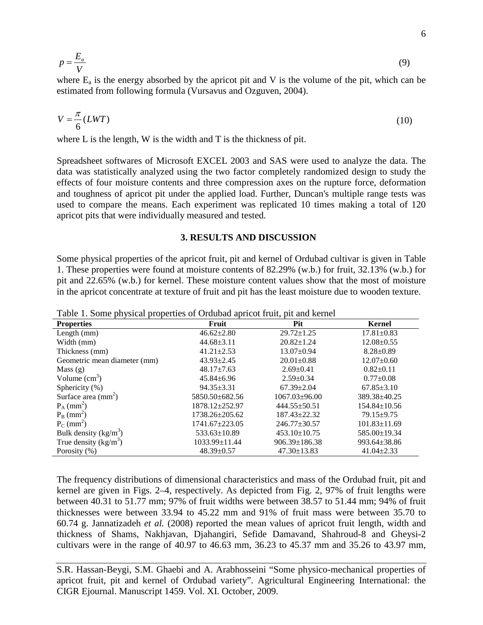$$
p = \frac{E_a}{V} \tag{9}
$$

where  $E_a$  is the energy absorbed by the apricot pit and V is the volume of the pit, which can be estimated from following formula (Vursavus and Ozguven, 2004).

$$
V = \frac{\pi}{6}(LWT) \tag{10}
$$

where L is the length, W is the width and T is the thickness of pit.

Spreadsheet softwares of Microsoft EXCEL 2003 and SAS were used to analyze the data. The data was statistically analyzed using the two factor completely randomized design to study the effects of four moisture contents and three compression axes on the rupture force, deformation and toughness of apricot pit under the applied load. Further, Duncan's multiple range tests was used to compare the means. Each experiment was replicated 10 times making a total of 120 apricot pits that were individually measured and tested.

#### **3. RESULTS AND DISCUSSION**

Some physical properties of the apricot fruit, pit and kernel of Ordubad cultivar is given in Table 1. These properties were found at moisture contents of 82.29% (w.b.) for fruit, 32.13% (w.b.) for pit and 22.65% (w.b.) for kernel. These moisture content values show that the most of moisture in the apricot concentrate at texture of fruit and pit has the least moisture due to wooden texture.

| Tuoto 1. Donio prijolom proportico or Orduoud upricot fruit, pit und Kerner |                    |                     |                    |
|-----------------------------------------------------------------------------|--------------------|---------------------|--------------------|
| <b>Properties</b>                                                           | Fruit              | Pit                 | <b>Kernel</b>      |
| Length $(mm)$                                                               | $46.62 \pm 2.80$   | $29.72 \pm 1.25$    | $17.81 \pm 0.83$   |
| Width (mm)                                                                  | $44.68 \pm 3.11$   | $20.82 \pm 1.24$    | $12.08 \pm 0.55$   |
| Thickness (mm)                                                              | $41.21 \pm 2.53$   | $13.07 \pm 0.94$    | $8.28 \pm 0.89$    |
| Geometric mean diameter (mm)                                                | $43.93 \pm 2.45$   | $20.01 \pm 0.88$    | $12.07 \pm 0.60$   |
| Mass $(g)$                                                                  | $48.17 \pm 7.63$   | $2.69 \pm 0.41$     | $0.82 \pm 0.11$    |
| Volume $\text{cm}^3$ )                                                      | $45.84 \pm 6.96$   | $2.59 \pm 0.34$     | $0.77 + 0.08$      |
| Sphericity (%)                                                              | $94.35 + 3.31$     | $67.39 + 2.04$      | $67.85 \pm 3.10$   |
| Surface area $\text{(mm}^2)$                                                | 5850.50±682.56     | $1067.03 \pm 96.00$ | 389.38±40.25       |
| $P_A$ (mm <sup>2</sup> )                                                    | 1878.12±252.97     | $444.55 \pm 50.51$  | $154.84 \pm 10.56$ |
| $P_B$ (mm <sup>2</sup> )                                                    | 1738.26±205.62     | $187.43 + 22.32$    | $79.15 \pm 9.75$   |
| $P_C$ (mm <sup>2</sup> )                                                    | 1741.67±223.05     | $246.77 \pm 30.57$  | $101.83 \pm 11.69$ |
| Bulk density $(kg/m^3)$                                                     | $533.63 \pm 10.89$ | $453.10 \pm 10.75$  | 585.00±19.34       |
| True density $(kg/m^3)$                                                     | 1033.99±11.44      | $906.39 \pm 186.38$ | 993.64±38.86       |
| Porosity (%)                                                                | $48.39 \pm 0.57$   | $47.30 \pm 13.83$   | $41.04 \pm 2.33$   |

Table 1. Some physical properties of Ordubad apricot fruit, pit and kernel

The frequency distributions of dimensional characteristics and mass of the Ordubad fruit, pit and kernel are given in Figs. 2–4, respectively. As depicted from Fig. 2, 97% of fruit lengths were between 40.31 to 51.77 mm; 97% of fruit widths were between 38.57 to 51.44 mm; 94% of fruit thicknesses were between 33.94 to 45.22 mm and 91% of fruit mass were between 35.70 to 60.74 g. Jannatizadeh *et al.* (2008) reported the mean values of apricot fruit length, width and thickness of Shams, Nakhjavan, Djahangiri, Sefide Damavand, Shahroud-8 and Gheysi-2 cultivars were in the range of 40.97 to 46.63 mm, 36.23 to 45.37 mm and 35.26 to 43.97 mm,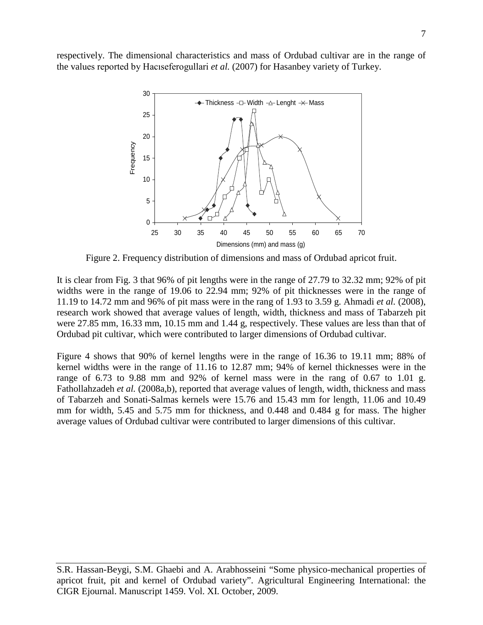respectively. The dimensional characteristics and mass of Ordubad cultivar are in the range of the values reported by Hacıseferogullari *et al.* (2007) for Hasanbey variety of Turkey.



Figure 2. Frequency distribution of dimensions and mass of Ordubad apricot fruit.

It is clear from Fig. 3 that 96% of pit lengths were in the range of 27.79 to 32.32 mm; 92% of pit widths were in the range of 19.06 to 22.94 mm; 92% of pit thicknesses were in the range of 11.19 to 14.72 mm and 96% of pit mass were in the rang of 1.93 to 3.59 g. Ahmadi *et al.* (2008), research work showed that average values of length, width, thickness and mass of Tabarzeh pit were 27.85 mm, 16.33 mm, 10.15 mm and 1.44 g, respectively. These values are less than that of Ordubad pit cultivar, which were contributed to larger dimensions of Ordubad cultivar.

Figure 4 shows that 90% of kernel lengths were in the range of 16.36 to 19.11 mm; 88% of kernel widths were in the range of 11.16 to 12.87 mm; 94% of kernel thicknesses were in the range of 6.73 to 9.88 mm and 92% of kernel mass were in the rang of 0.67 to 1.01 g. Fathollahzadeh *et al.* (2008a,b), reported that average values of length, width, thickness and mass of Tabarzeh and Sonati-Salmas kernels were 15.76 and 15.43 mm for length, 11.06 and 10.49 mm for width, 5.45 and 5.75 mm for thickness, and 0.448 and 0.484 g for mass. The higher average values of Ordubad cultivar were contributed to larger dimensions of this cultivar.

S.R. Hassan-Beygi, S.M. Ghaebi and A. Arabhosseini "Some physico-mechanical properties of apricot fruit, pit and kernel of Ordubad variety". Agricultural Engineering International: the CIGR Ejournal. Manuscript 1459. Vol. XI. October, 2009.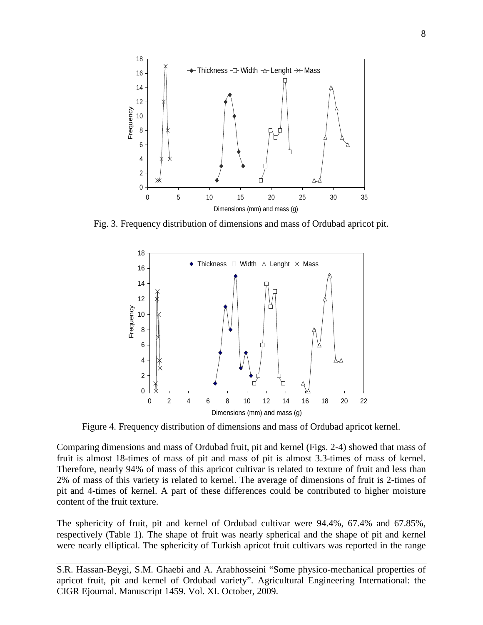

Fig. 3. Frequency distribution of dimensions and mass of Ordubad apricot pit.



Figure 4. Frequency distribution of dimensions and mass of Ordubad apricot kernel.

Comparing dimensions and mass of Ordubad fruit, pit and kernel (Figs. 2-4) showed that mass of fruit is almost 18-times of mass of pit and mass of pit is almost 3.3-times of mass of kernel. Therefore, nearly 94% of mass of this apricot cultivar is related to texture of fruit and less than 2% of mass of this variety is related to kernel. The average of dimensions of fruit is 2-times of pit and 4-times of kernel. A part of these differences could be contributed to higher moisture content of the fruit texture.

The sphericity of fruit, pit and kernel of Ordubad cultivar were 94.4%, 67.4% and 67.85%, respectively (Table 1). The shape of fruit was nearly spherical and the shape of pit and kernel were nearly elliptical. The sphericity of Turkish apricot fruit cultivars was reported in the range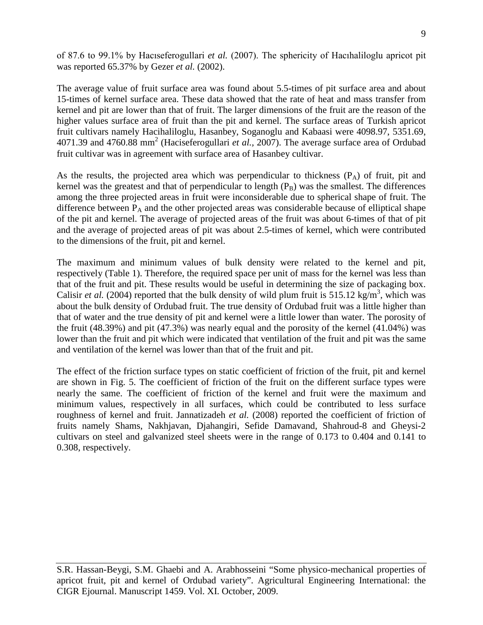of 87.6 to 99.1% by Hacıseferogullari *et al.* (2007). The sphericity of Hacıhaliloglu apricot pit was reported 65.37% by Gezer *et al.* (2002).

The average value of fruit surface area was found about 5.5-times of pit surface area and about 15-times of kernel surface area. These data showed that the rate of heat and mass transfer from kernel and pit are lower than that of fruit. The larger dimensions of the fruit are the reason of the higher values surface area of fruit than the pit and kernel. The surface areas of Turkish apricot fruit cultivars namely Hacihaliloglu, Hasanbey, Soganoglu and Kabaasi were 4098.97, 5351.69, 4071.39 and 4760.88 mm<sup>2</sup> (Haciseferogullari *et al.,* 2007). The average surface area of Ordubad fruit cultivar was in agreement with surface area of Hasanbey cultivar.

As the results, the projected area which was perpendicular to thickness  $(P_A)$  of fruit, pit and kernel was the greatest and that of perpendicular to length  $(P_B)$  was the smallest. The differences among the three projected areas in fruit were inconsiderable due to spherical shape of fruit. The difference between  $P_A$  and the other projected areas was considerable because of elliptical shape of the pit and kernel. The average of projected areas of the fruit was about 6-times of that of pit and the average of projected areas of pit was about 2.5-times of kernel, which were contributed to the dimensions of the fruit, pit and kernel.

The maximum and minimum values of bulk density were related to the kernel and pit, respectively (Table 1). Therefore, the required space per unit of mass for the kernel was less than that of the fruit and pit. These results would be useful in determining the size of packaging box. Calisir *et al.* (2004) reported that the bulk density of wild plum fruit is 515.12 kg/m<sup>3</sup>, which was about the bulk density of Ordubad fruit. The true density of Ordubad fruit was a little higher than that of water and the true density of pit and kernel were a little lower than water. The porosity of the fruit (48.39%) and pit (47.3%) was nearly equal and the porosity of the kernel (41.04%) was lower than the fruit and pit which were indicated that ventilation of the fruit and pit was the same and ventilation of the kernel was lower than that of the fruit and pit.

The effect of the friction surface types on static coefficient of friction of the fruit, pit and kernel are shown in Fig. 5. The coefficient of friction of the fruit on the different surface types were nearly the same. The coefficient of friction of the kernel and fruit were the maximum and minimum values, respectively in all surfaces, which could be contributed to less surface roughness of kernel and fruit. Jannatizadeh *et al.* (2008) reported the coefficient of friction of fruits namely Shams, Nakhjavan, Djahangiri, Sefide Damavand, Shahroud-8 and Gheysi-2 cultivars on steel and galvanized steel sheets were in the range of 0.173 to 0.404 and 0.141 to 0.308, respectively.

S.R. Hassan-Beygi, S.M. Ghaebi and A. Arabhosseini "Some physico-mechanical properties of apricot fruit, pit and kernel of Ordubad variety". Agricultural Engineering International: the CIGR Ejournal. Manuscript 1459. Vol. XI. October, 2009.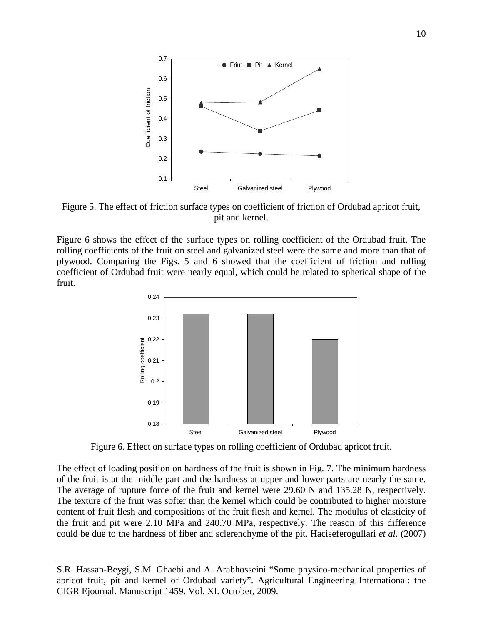

Figure 5. The effect of friction surface types on coefficient of friction of Ordubad apricot fruit, pit and kernel.

Figure 6 shows the effect of the surface types on rolling coefficient of the Ordubad fruit. The rolling coefficients of the fruit on steel and galvanized steel were the same and more than that of plywood. Comparing the Figs. 5 and 6 showed that the coefficient of friction and rolling coefficient of Ordubad fruit were nearly equal, which could be related to spherical shape of the fruit.



Figure 6. Effect on surface types on rolling coefficient of Ordubad apricot fruit.

The effect of loading position on hardness of the fruit is shown in Fig. 7. The minimum hardness of the fruit is at the middle part and the hardness at upper and lower parts are nearly the same. The average of rupture force of the fruit and kernel were 29.60 N and 135.28 N, respectively. The texture of the fruit was softer than the kernel which could be contributed to higher moisture content of fruit flesh and compositions of the fruit flesh and kernel. The modulus of elasticity of the fruit and pit were 2.10 MPa and 240.70 MPa, respectively. The reason of this difference could be due to the hardness of fiber and sclerenchyme of the pit. Haciseferogullari *et al.* (2007)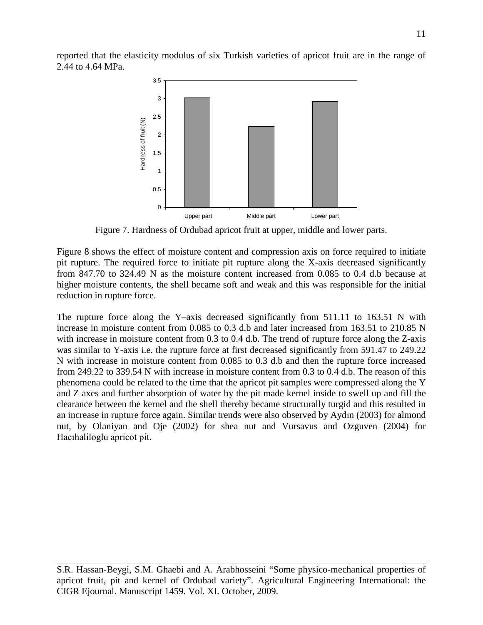reported that the elasticity modulus of six Turkish varieties of apricot fruit are in the range of 2.44 to 4.64 MPa.



Figure 7. Hardness of Ordubad apricot fruit at upper, middle and lower parts.

Figure 8 shows the effect of moisture content and compression axis on force required to initiate pit rupture. The required force to initiate pit rupture along the X-axis decreased significantly from 847.70 to 324.49 N as the moisture content increased from 0.085 to 0.4 d.b because at higher moisture contents, the shell became soft and weak and this was responsible for the initial reduction in rupture force.

The rupture force along the Y–axis decreased significantly from 511.11 to 163.51 N with increase in moisture content from 0.085 to 0.3 d.b and later increased from 163.51 to 210.85 N with increase in moisture content from 0.3 to 0.4 d.b. The trend of rupture force along the Z-axis was similar to Y-axis i.e. the rupture force at first decreased significantly from 591.47 to 249.22 N with increase in moisture content from 0.085 to 0.3 d.b and then the rupture force increased from 249.22 to 339.54 N with increase in moisture content from 0.3 to 0.4 d.b. The reason of this phenomena could be related to the time that the apricot pit samples were compressed along the Y and Z axes and further absorption of water by the pit made kernel inside to swell up and fill the clearance between the kernel and the shell thereby became structurally turgid and this resulted in an increase in rupture force again. Similar trends were also observed by Aydın (2003) for almond nut, by Olaniyan and Oje (2002) for shea nut and Vursavus and Ozguven (2004) for Hacıhaliloglu apricot pit.

S.R. Hassan-Beygi, S.M. Ghaebi and A. Arabhosseini "Some physico-mechanical properties of apricot fruit, pit and kernel of Ordubad variety". Agricultural Engineering International: the CIGR Ejournal. Manuscript 1459. Vol. XI. October, 2009.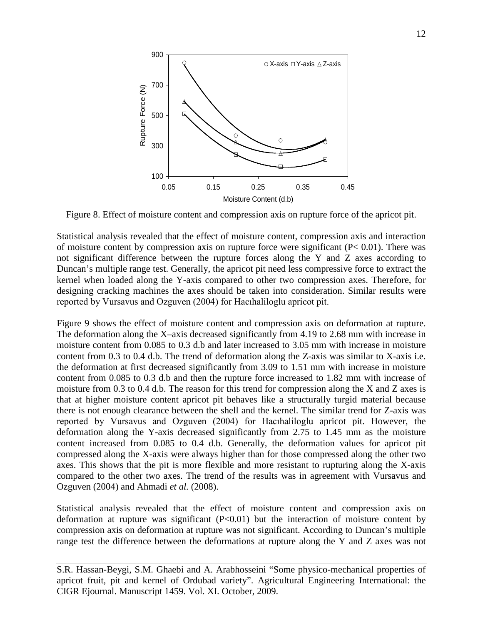

Figure 8. Effect of moisture content and compression axis on rupture force of the apricot pit.

Statistical analysis revealed that the effect of moisture content, compression axis and interaction of moisture content by compression axis on rupture force were significant  $(P< 0.01)$ . There was not significant difference between the rupture forces along the Y and Z axes according to Duncan's multiple range test. Generally, the apricot pit need less compressive force to extract the kernel when loaded along the Y-axis compared to other two compression axes. Therefore, for designing cracking machines the axes should be taken into consideration. Similar results were reported by Vursavus and Ozguven (2004) for Hacıhaliloglu apricot pit.

Figure 9 shows the effect of moisture content and compression axis on deformation at rupture. The deformation along the X–axis decreased significantly from 4.19 to 2.68 mm with increase in moisture content from 0.085 to 0.3 d.b and later increased to 3.05 mm with increase in moisture content from 0.3 to 0.4 d.b. The trend of deformation along the Z-axis was similar to X-axis i.e. the deformation at first decreased significantly from 3.09 to 1.51 mm with increase in moisture content from 0.085 to 0.3 d.b and then the rupture force increased to 1.82 mm with increase of moisture from 0.3 to 0.4 d.b. The reason for this trend for compression along the X and Z axes is that at higher moisture content apricot pit behaves like a structurally turgid material because there is not enough clearance between the shell and the kernel. The similar trend for Z-axis was reported by Vursavus and Ozguven (2004) for Hacıhaliloglu apricot pit. However, the deformation along the Y-axis decreased significantly from 2.75 to 1.45 mm as the moisture content increased from 0.085 to 0.4 d.b. Generally, the deformation values for apricot pit compressed along the X-axis were always higher than for those compressed along the other two axes. This shows that the pit is more flexible and more resistant to rupturing along the X-axis compared to the other two axes. The trend of the results was in agreement with Vursavus and Ozguven (2004) and Ahmadi *et al.* (2008).

Statistical analysis revealed that the effect of moisture content and compression axis on deformation at rupture was significant  $(P<0.01)$  but the interaction of moisture content by compression axis on deformation at rupture was not significant. According to Duncan's multiple range test the difference between the deformations at rupture along the Y and Z axes was not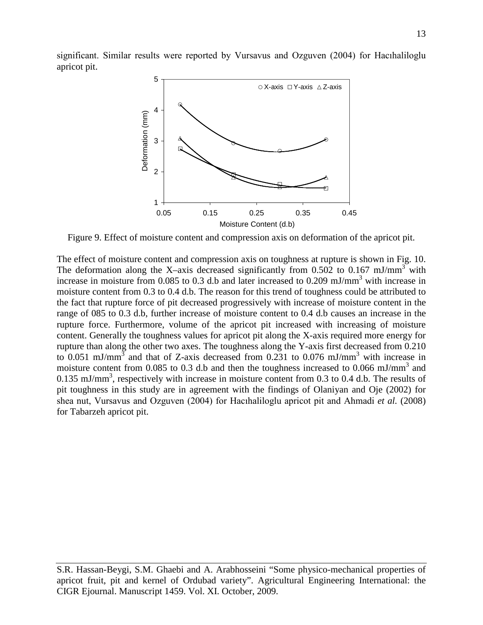significant. Similar results were reported by Vursavus and Ozguven (2004) for Hacıhaliloglu apricot pit.



Figure 9. Effect of moisture content and compression axis on deformation of the apricot pit.

The effect of moisture content and compression axis on toughness at rupture is shown in Fig. 10. The deformation along the X–axis decreased significantly from 0.502 to 0.167 mJ/mm<sup>3</sup> with increase in moisture from 0.085 to 0.3 d.b and later increased to 0.209 mJ/mm<sup>3</sup> with increase in moisture content from 0.3 to 0.4 d.b. The reason for this trend of toughness could be attributed to the fact that rupture force of pit decreased progressively with increase of moisture content in the range of 085 to 0.3 d.b, further increase of moisture content to 0.4 d.b causes an increase in the rupture force. Furthermore, volume of the apricot pit increased with increasing of moisture content. Generally the toughness values for apricot pit along the X-axis required more energy for rupture than along the other two axes. The toughness along the Y-axis first decreased from 0.210 to 0.051 mJ/mm<sup>3</sup> and that of Z-axis decreased from 0.231 to 0.076 mJ/mm<sup>3</sup> with increase in moisture content from 0.085 to 0.3 d.b and then the toughness increased to 0.066 mJ/mm<sup>3</sup> and 0.135 mJ/mm<sup>3</sup>, respectively with increase in moisture content from 0.3 to 0.4 d.b. The results of pit toughness in this study are in agreement with the findings of Olaniyan and Oje (2002) for shea nut, Vursavus and Ozguven (2004) for Hacıhaliloglu apricot pit and Ahmadi *et al.* (2008) for Tabarzeh apricot pit.

S.R. Hassan-Beygi, S.M. Ghaebi and A. Arabhosseini "Some physico-mechanical properties of apricot fruit, pit and kernel of Ordubad variety". Agricultural Engineering International: the CIGR Ejournal. Manuscript 1459. Vol. XI. October, 2009.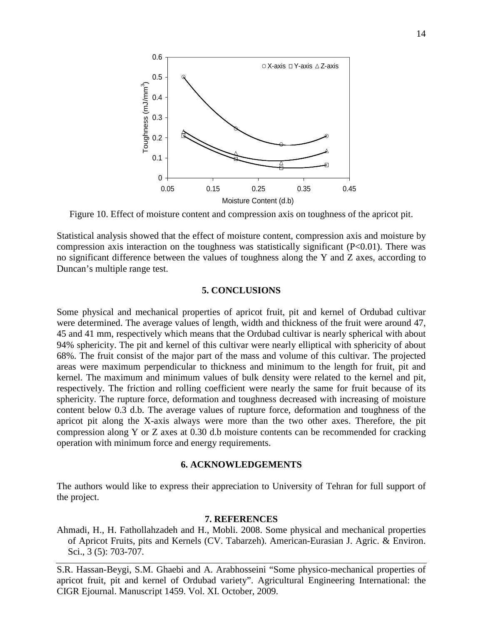

Figure 10. Effect of moisture content and compression axis on toughness of the apricot pit.

Statistical analysis showed that the effect of moisture content, compression axis and moisture by compression axis interaction on the toughness was statistically significant (P<0.01). There was no significant difference between the values of toughness along the Y and Z axes, according to Duncan's multiple range test.

## **5. CONCLUSIONS**

Some physical and mechanical properties of apricot fruit, pit and kernel of Ordubad cultivar were determined. The average values of length, width and thickness of the fruit were around 47, 45 and 41 mm, respectively which means that the Ordubad cultivar is nearly spherical with about 94% sphericity. The pit and kernel of this cultivar were nearly elliptical with sphericity of about 68%. The fruit consist of the major part of the mass and volume of this cultivar. The projected areas were maximum perpendicular to thickness and minimum to the length for fruit, pit and kernel. The maximum and minimum values of bulk density were related to the kernel and pit, respectively. The friction and rolling coefficient were nearly the same for fruit because of its sphericity. The rupture force, deformation and toughness decreased with increasing of moisture content below 0.3 d.b. The average values of rupture force, deformation and toughness of the apricot pit along the X-axis always were more than the two other axes. Therefore, the pit compression along Y or Z axes at 0.30 d.b moisture contents can be recommended for cracking operation with minimum force and energy requirements.

#### **6. ACKNOWLEDGEMENTS**

The authors would like to express their appreciation to University of Tehran for full support of the project.

### **7. REFERENCES**

Ahmadi, H., H. Fathollahzadeh and H., Mobli. 2008. Some physical and mechanical properties of Apricot Fruits, pits and Kernels (CV. Tabarzeh). American-Eurasian J. Agric. & Environ. Sci., 3 (5): 703-707.

S.R. Hassan-Beygi, S.M. Ghaebi and A. Arabhosseini "Some physico-mechanical properties of apricot fruit, pit and kernel of Ordubad variety". Agricultural Engineering International: the CIGR Ejournal. Manuscript 1459. Vol. XI. October, 2009.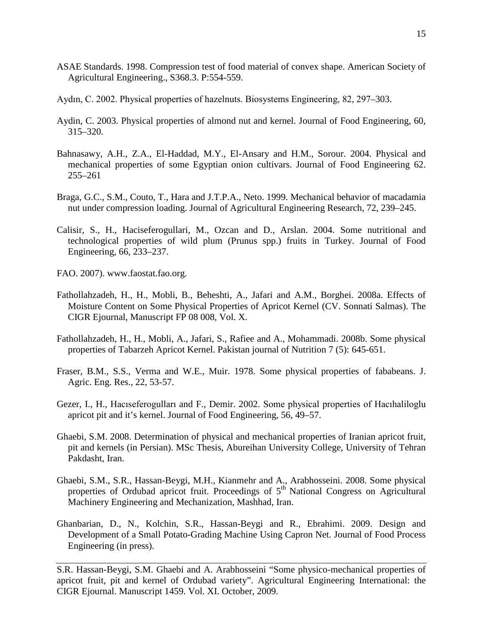- ASAE Standards. 1998. Compression test of food material of convex shape. American Society of Agricultural Engineering., S368.3. P:554-559.
- Aydın, C. 2002. Physical properties of hazelnuts. Biosystems Engineering, 82, 297–303.
- Aydin, C. 2003. Physical properties of almond nut and kernel. Journal of Food Engineering, 60, 315–320.
- Bahnasawy, A.H., Z.A., El-Haddad, M.Y., El-Ansary and H.M., Sorour. 2004. Physical and mechanical properties of some Egyptian onion cultivars. Journal of Food Engineering 62. 255–261
- Braga, G.C., S.M., Couto, T., Hara and J.T.P.A., Neto. 1999. Mechanical behavior of macadamia nut under compression loading. Journal of Agricultural Engineering Research, 72, 239–245.
- Calisir, S., H., Haciseferogullari, M., Ozcan and D., Arslan. 2004. Some nutritional and technological properties of wild plum (Prunus spp.) fruits in Turkey. Journal of Food Engineering, 66, 233–237.
- FAO. 2007). [www.faostat.fao.org.](http://www.faostat.fao.org/)
- Fathollahzadeh, H., H., Mobli, B., Beheshti, A., Jafari and A.M., Borghei. 2008a. Effects of Moisture Content on Some Physical Properties of Apricot Kernel (CV. Sonnati Salmas). The CIGR Ejournal, Manuscript FP 08 008, Vol. X.
- Fathollahzadeh, H., H., Mobli, A., Jafari, S., Rafiee and A., Mohammadi. 2008b. Some physical properties of Tabarzeh Apricot Kernel. Pakistan journal of Nutrition 7 (5): 645-651.
- Fraser, B.M., S.S., Verma and W.E., Muir. 1978. Some physical properties of fababeans. J. Agric. Eng. Res., 22, 53-57.
- Gezer, I., H., Hacıseferogulları and F., Demir. 2002. Some physical properties of Hacıhaliloglu apricot pit and it's kernel. Journal of Food Engineering, 56, 49–57.
- Ghaebi, S.M. 2008. Determination of physical and mechanical properties of Iranian apricot fruit, pit and kernels (in Persian). MSc Thesis, Abureihan University College, University of Tehran Pakdasht, Iran.
- Ghaebi, S.M., S.R., Hassan-Beygi, M.H., Kianmehr and A., Arabhosseini. 2008. Some physical properties of Ordubad apricot fruit. Proceedings of 5<sup>th</sup> National Congress on Agricultural Machinery Engineering and Mechanization, Mashhad, Iran.
- Ghanbarian, D., N., Kolchin, S.R., Hassan-Beygi and R., Ebrahimi. 2009. Design and Development of a Small Potato-Grading Machine Using Capron Net. Journal of Food Process Engineering (in press).

S.R. Hassan-Beygi, S.M. Ghaebi and A. Arabhosseini "Some physico-mechanical properties of apricot fruit, pit and kernel of Ordubad variety". Agricultural Engineering International: the CIGR Ejournal. Manuscript 1459. Vol. XI. October, 2009.